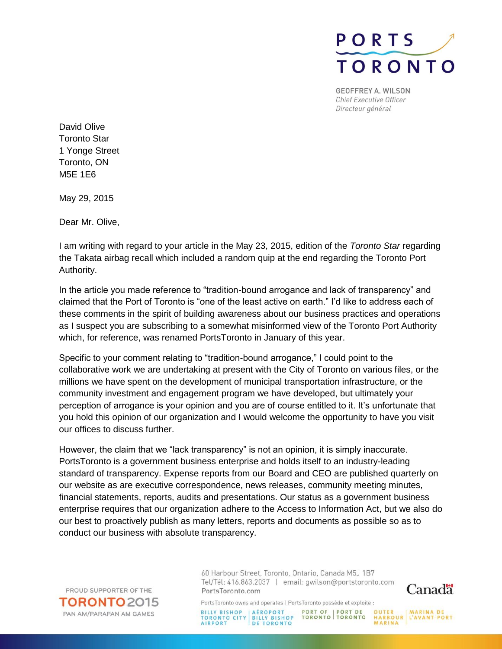

**GEOFFREY A. WILSON Chief Executive Officer** Directeur général

David Olive Toronto Star 1 Yonge Street Toronto, ON M5E 1E6

May 29, 2015

Dear Mr. Olive,

I am writing with regard to your article in the May 23, 2015, edition of the *Toronto Star* regarding the Takata airbag recall which included a random quip at the end regarding the Toronto Port Authority.

In the article you made reference to "tradition-bound arrogance and lack of transparency" and claimed that the Port of Toronto is "one of the least active on earth." I'd like to address each of these comments in the spirit of building awareness about our business practices and operations as I suspect you are subscribing to a somewhat misinformed view of the Toronto Port Authority which, for reference, was renamed PortsToronto in January of this year.

Specific to your comment relating to "tradition-bound arrogance," I could point to the collaborative work we are undertaking at present with the City of Toronto on various files, or the millions we have spent on the development of municipal transportation infrastructure, or the community investment and engagement program we have developed, but ultimately your perception of arrogance is your opinion and you are of course entitled to it. It's unfortunate that you hold this opinion of our organization and I would welcome the opportunity to have you visit our offices to discuss further.

However, the claim that we "lack transparency" is not an opinion, it is simply inaccurate. PortsToronto is a government business enterprise and holds itself to an industry-leading standard of transparency. Expense reports from our Board and CEO are published quarterly on our website as are executive correspondence, news releases, community meeting minutes, financial statements, reports, audits and presentations. Our status as a government business enterprise requires that our organization adhere to the Access to Information Act, but we also do our best to proactively publish as many letters, reports and documents as possible so as to conduct our business with absolute transparency.

PROUD SUPPORTER OF THE **TORONTO 2015** PAN AM/PARAPAN AM GAMES

60 Harbour Street, Toronto, Ontario, Canada M5J 1B7 Tel/Tél: 416.863.2037 | email: gwilson@portstoronto.com PortsToronto.com

Canadä

PortsToronto owns and operates | PortsToronto possède et exploite :

BILLY BISHOP AÉROPORT PORT OF PORT DE<br>TORONTO CITY BILLY BISHOP TORONTO TORONTO<br>AIRPORT DE TORONTO **OUTER MARINA DE<br>HARBOUR L'AVANT-PORT**